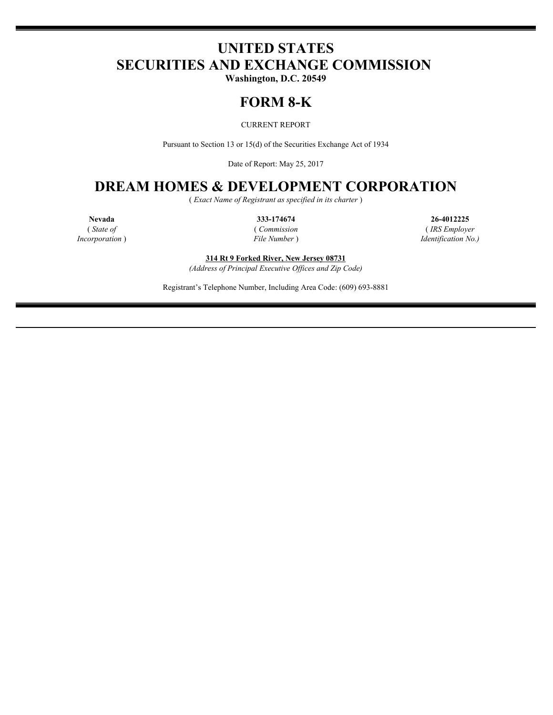# **UNITED STATES SECURITIES AND EXCHANGE COMMISSION**

**Washington, D.C. 20549**

## **FORM 8-K**

CURRENT REPORT

Pursuant to Section 13 or 15(d) of the Securities Exchange Act of 1934

Date of Report: May 25, 2017

### **DREAM HOMES & DEVELOPMENT CORPORATION**

( *Exact Name of Registrant as specified in its charter* )

**Nevada 333-174674 26-4012225** ( *State of* ( *Commission* ( *IRS Employer Incorporation* ) *File Number* ) *Identification No.)*

**314 Rt 9 Forked River, New Jersey 08731**

*(Address of Principal Executive Offices and Zip Code)*

Registrant's Telephone Number, Including Area Code: (609) 693-8881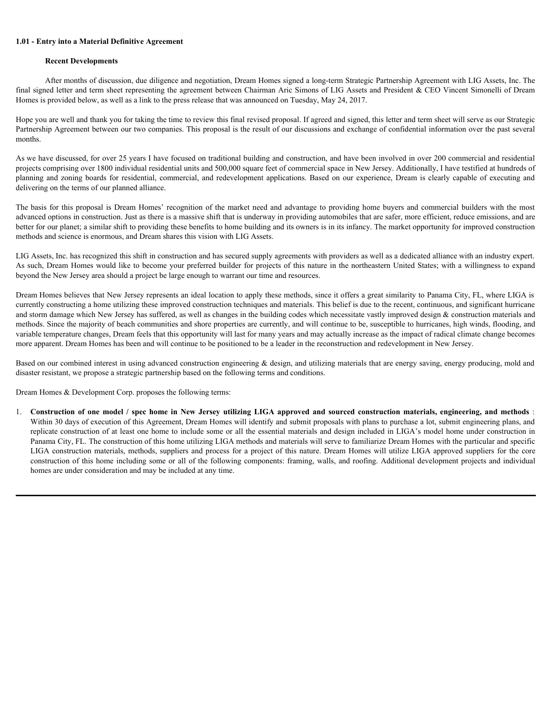#### **1.01 - Entry into a Material Definitive Agreement**

#### **Recent Developments**

After months of discussion, due diligence and negotiation, Dream Homes signed a long-term Strategic Partnership Agreement with LIG Assets, Inc. The final signed letter and term sheet representing the agreement between Chairman Aric Simons of LIG Assets and President & CEO Vincent Simonelli of Dream Homes is provided below, as well as a link to the press release that was announced on Tuesday, May 24, 2017.

Hope you are well and thank you for taking the time to review this final revised proposal. If agreed and signed, this letter and term sheet will serve as our Strategic Partnership Agreement between our two companies. This proposal is the result of our discussions and exchange of confidential information over the past several months.

As we have discussed, for over 25 years I have focused on traditional building and construction, and have been involved in over 200 commercial and residential projects comprising over 1800 individual residential units and 500,000 square feet of commercial space in New Jersey. Additionally, I have testified at hundreds of **1.01 - Entry into a Material Definitive Agreement**<br>**Recent Developments**<br>**Recent Developments**<br>**Resident Columnisms**, due diligence and negotiation, Dream Homes signed a long-term Strategic Particeship Agreement with LIG delivering on the terms of our planned alliance.

The basis for this proposal is Dream Homes' recognition of the market need and advantage to providing home buyers and commercial builders with the most advanced options in construction. Just as there is a massive shift that is underway in providing automobiles that are safer, more efficient, reduce emissions, and are better for our planet; a similar shift to providing these benefits to home building and its owners is in its infancy. The market opportunity for improved construction methods and science is enormous, and Dream shares this vision with LIG Assets.

LIG Assets, Inc. has recognized this shift in construction and has secured supply agreements with providers as well as a dedicated alliance with an industry expert. As such, Dream Homes would like to become your preferred builder for projects of this nature in the northeastern United States; with a willingness to expand beyond the New Jersey area should a project be large enough to warrant our time and resources.

Dream Homes believes that New Jersey represents an ideal location to apply these methods, since it offers a great similarity to Panama City, FL, where LIGA is currently constructing a home utilizing these improved construction techniques and materials. This belief is due to the recent, continuous, and significant hurricane and storm damage which New Jersey has suffered, as well as changes in the building codes which necessitate vastly improved design  $\&$  construction materials and methods. Since the majority of beach communities and shore properties are currently, and will continue to be, susceptible to hurricanes, high winds, flooding, and variable temperature changes, Dream feels that this opportunity will last for many years and may actually increase as the impact of radical climate change becomes more apparent. Dream Homes has been and will continue to be positioned to be a leader in the reconstruction and redevelopment in New Jersey.

Based on our combined interest in using advanced construction engineering  $\&$  design, and utilizing materials that are energy saving, energy producing, mold and disaster resistant, we propose a strategic partnership based on the following terms and conditions.

Dream Homes & Development Corp. proposes the following terms:

Hope on a cost lad dualy on far taking to the to review this flat (exist space) and the geodosi and the cost of the last the cost of the space of the space of the space of the space of the space of the space of the space o replicate construction of at least one home to include some or all the essential materials and design included in LIGA's model home under construction in Panama City, FL. The construction of this home utilizing LIGA methods and materials will serve to familiarize Dream Homes with the particular and specific LIGA construction materials, methods, suppliers and process for a project of this nature. Dream Homes will utilize LIGA approved suppliers for the core construction of this home including some or all of the following components: framing, walls, and roofing. Additional development projects and individual homes are under consideration and may be included at any time.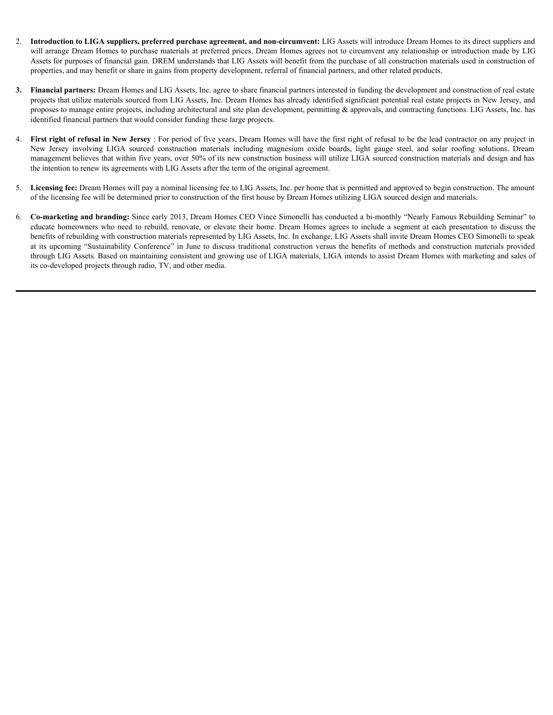- 2. **Introduction to LIGA suppliers, preferred purchase agreement, and non-circumvent:** LIG Assets will introduce Dream Homes to its direct suppliers and will arrange Dream Homes to purchase materials at preferred prices. Dream Homes agrees not to circumvent any relationship or introduction made by LIG Assets for purposes of financial gain. DREM understands that LIG Assets will benefit from the purchase of all construction materials used in construction of properties, and may benefit or share in gains from property development, referral of financial partners, and other related products. **Introduction to LIGA suppliers, preferred purchase agreement, and non-circumvent:** LIG Assets will introduce Dream Homes to its direct suppliers and will arrange Dream Homes to purchase materials at preferred prices. Drea
- **3. Financial partners:** Dream Homes and LIG Assets, Inc. agree to share financial partners interested in funding the development and construction of real estate projects that utilize materials sourced from LIG Assets, Inc. Dream Homes has already identified significant potential real estate projects in New Jersey, and proposes to manage entire projects, including architectural and site plan development, permitting  $\&$  approvals, and contracting functions. LIG Assets, Inc. has identified financial partners that would consider funding these large projects.
- 4. **First right of refusal in New Jersey** : For period of five years, Dream Homes will have the first right of refusal to be the lead contractor on any project in management believes that within five years, over 50% of its new construction business will utilize LIGA sourced construction materials and design and has the intention to renew its agreements with LIG Assets after the term of the original agreement.
- 5. **Licensing fee:** Dream Homes will pay a nominal licensing fee to LIG Assets, Inc. per home that is permitted and approved to begin construction. The amount of the licensing fee will be determined prior to construction of the first house by Dream Homes utilizing LIGA sourced design and materials.
- 6. **Co-marketing and branding:** Since early 2013, Dream Homes CEO Vince Simonelli has conducted a bi-monthly "Nearly Famous Rebuilding Seminar" to educate homeowners who need to rebuild, renovate, or elevate their home. Dream Homes agrees to include a segment at each presentation to discuss the benefits of rebuilding with construction materials represented by LIG Assets, Inc. In exchange, LIG Assets shall invite Dream Homes CEO Simonelli to speak at its upcoming "Sustainability Conference" in June to discuss traditional construction versus the benefits of methods and construction materials provided through LIG Assets. Based on maintaining consistent and growing use of LIGA materials, LIGA intends to assist Dream Homes with marketing and sales of its co-developed projects through radio, TV, and other media.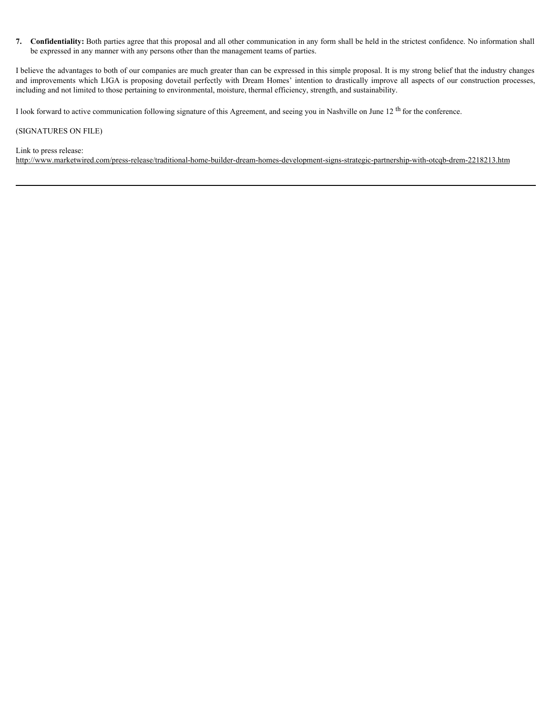**7. Confidentiality:** Both parties agree that this proposal and all other communication in any form shall be held in the strictest confidence. No information shall be expressed in any manner with any persons other than the management teams of parties.

I believe the advantages to both of our companies are much greater than can be expressed in this simple proposal. It is my strong belief that the industry changes **7. Confidentiality:** Both parties agree that this proposal and all other communication in any form shall be held in the strictest confidence. No information shall be expressed in any manner with any persons other than including and not limited to those pertaining to environmental, moisture, thermal efficiency, strength, and sustainability.

I look forward to active communication following signature of this Agreement, and seeing you in Nashville on June 12 th for the conference.

#### (SIGNATURES ON FILE)

Link to press release:

http://www.marketwired.com/press-release/traditional-home-builder-dream-homes-development-signs-strategic-partnership-with-otcqb-drem-2218213.htm